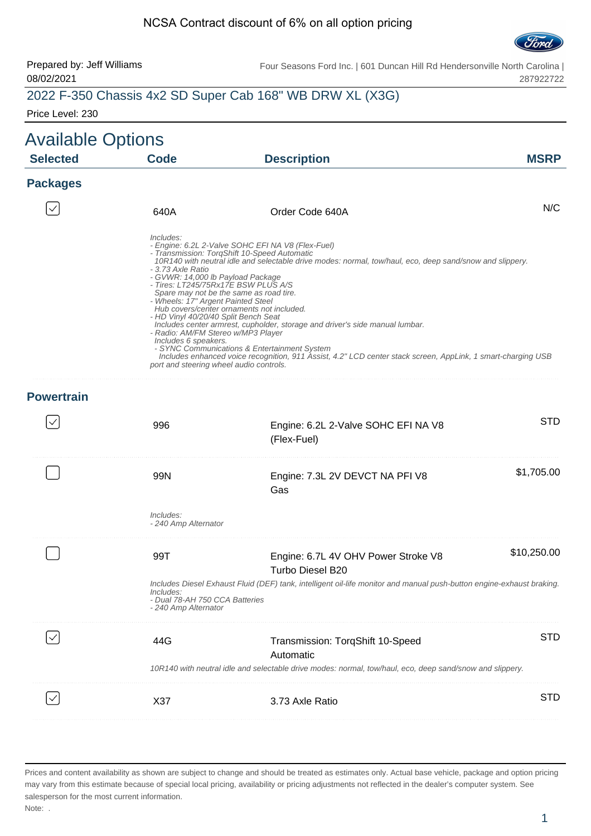#### NCSA Contract discount of 6% on all option pricing



#### Prepared by: Jeff Williams 08/02/2021

Four Seasons Ford Inc. | 601 Duncan Hill Rd Hendersonville North Carolina | 287922722

# 2022 F-350 Chassis 4x2 SD Super Cab 168" WB DRW XL (X3G)

Price Level: 230

| <b>Available Options</b> |                                                                                                                                                                                                                                                            |                                                                                                                                                                                                                                                                                                                                                                                                                                                                                                                                                                                              |             |
|--------------------------|------------------------------------------------------------------------------------------------------------------------------------------------------------------------------------------------------------------------------------------------------------|----------------------------------------------------------------------------------------------------------------------------------------------------------------------------------------------------------------------------------------------------------------------------------------------------------------------------------------------------------------------------------------------------------------------------------------------------------------------------------------------------------------------------------------------------------------------------------------------|-------------|
| <b>Selected</b>          | <b>Code</b>                                                                                                                                                                                                                                                | <b>Description</b>                                                                                                                                                                                                                                                                                                                                                                                                                                                                                                                                                                           | <b>MSRP</b> |
| <b>Packages</b>          |                                                                                                                                                                                                                                                            |                                                                                                                                                                                                                                                                                                                                                                                                                                                                                                                                                                                              |             |
|                          | 640A                                                                                                                                                                                                                                                       | Order Code 640A                                                                                                                                                                                                                                                                                                                                                                                                                                                                                                                                                                              | N/C         |
|                          | Includes:<br>- 3.73 Axle Ratio<br>- GVWR: 14,000 lb Payload Package<br>- Wheels: 17" Argent Painted Steel<br>- HD Vinyl 40/20/40 Split Bench Seat<br>- Radio: AM/FM Stereo w/MP3 Player<br>Includes 6 speakers.<br>port and steering wheel audio controls. | - Engine: 6.2L 2-Valve SOHC EFI NA V8 (Flex-Fuel)<br>- Transmission: TorqShift 10-Speed Automatic<br>10R140 with neutral idle and selectable drive modes: normal, tow/haul, eco, deep sand/snow and slippery.<br>- Tires: LT245/75Rx17E BSW PLUS A/S<br>Spare may not be the same as road tire.<br>Hub covers/center ornaments not included.<br>Includes center armrest, cupholder, storage and driver's side manual lumbar.<br>- SYNC Communications & Entertainment System<br>Includes enhanced voice recognition, 911 Assist, 4.2" LCD center stack screen, AppLink, 1 smart-charging USB |             |
| <b>Powertrain</b>        |                                                                                                                                                                                                                                                            |                                                                                                                                                                                                                                                                                                                                                                                                                                                                                                                                                                                              |             |
|                          | 996                                                                                                                                                                                                                                                        | Engine: 6.2L 2-Valve SOHC EFI NA V8<br>(Flex-Fuel)                                                                                                                                                                                                                                                                                                                                                                                                                                                                                                                                           | <b>STD</b>  |
|                          | 99N                                                                                                                                                                                                                                                        | Engine: 7.3L 2V DEVCT NA PFI V8<br>Gas                                                                                                                                                                                                                                                                                                                                                                                                                                                                                                                                                       | \$1,705.00  |
|                          | Includes:<br>- 240 Amp Alternator                                                                                                                                                                                                                          |                                                                                                                                                                                                                                                                                                                                                                                                                                                                                                                                                                                              |             |
|                          | 99T                                                                                                                                                                                                                                                        | Engine: 6.7L 4V OHV Power Stroke V8<br><b>Turbo Diesel B20</b>                                                                                                                                                                                                                                                                                                                                                                                                                                                                                                                               | \$10,250.00 |
|                          | Includes:<br>- Dual 78-AH 750 CCA Batteries<br>- 240 Amp Alternator                                                                                                                                                                                        | Includes Diesel Exhaust Fluid (DEF) tank, intelligent oil-life monitor and manual push-button engine-exhaust braking.                                                                                                                                                                                                                                                                                                                                                                                                                                                                        |             |
|                          | 44G                                                                                                                                                                                                                                                        | Transmission: TorqShift 10-Speed<br>Automatic                                                                                                                                                                                                                                                                                                                                                                                                                                                                                                                                                | <b>STD</b>  |
|                          |                                                                                                                                                                                                                                                            | 10R140 with neutral idle and selectable drive modes: normal, tow/haul, eco, deep sand/snow and slippery.                                                                                                                                                                                                                                                                                                                                                                                                                                                                                     |             |
|                          | X37                                                                                                                                                                                                                                                        | 3.73 Axle Ratio                                                                                                                                                                                                                                                                                                                                                                                                                                                                                                                                                                              | <b>STD</b>  |
|                          |                                                                                                                                                                                                                                                            |                                                                                                                                                                                                                                                                                                                                                                                                                                                                                                                                                                                              |             |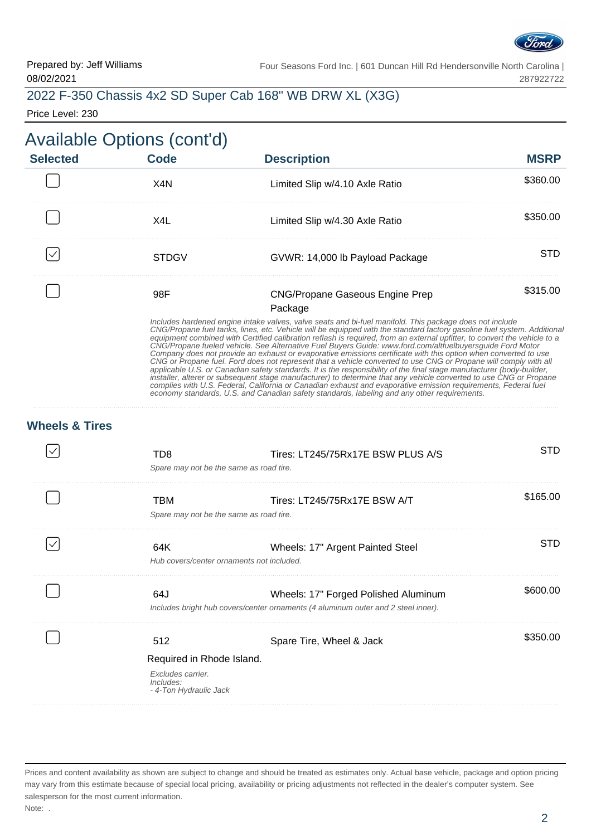

| 2022 F-350 Chassis 4x2 SD Super Cab 168" WB DRW XL (X3G) |  |  |  |  |  |  |  |
|----------------------------------------------------------|--|--|--|--|--|--|--|
|----------------------------------------------------------|--|--|--|--|--|--|--|

Price Level: 230

# Available Options (cont'd)

| <b>Selected</b> | Code  | <b>Description</b>                                                                                                                                                                                                                                                                                                                                                                                                                                                                                                                                                                                                                                                                                                                                                                                                                           | <b>MSRP</b> |
|-----------------|-------|----------------------------------------------------------------------------------------------------------------------------------------------------------------------------------------------------------------------------------------------------------------------------------------------------------------------------------------------------------------------------------------------------------------------------------------------------------------------------------------------------------------------------------------------------------------------------------------------------------------------------------------------------------------------------------------------------------------------------------------------------------------------------------------------------------------------------------------------|-------------|
|                 | X4N   | Limited Slip w/4.10 Axle Ratio                                                                                                                                                                                                                                                                                                                                                                                                                                                                                                                                                                                                                                                                                                                                                                                                               | \$360.00    |
|                 | X4L   | Limited Slip w/4.30 Axle Ratio                                                                                                                                                                                                                                                                                                                                                                                                                                                                                                                                                                                                                                                                                                                                                                                                               | \$350.00    |
|                 | STDGV | GVWR: 14,000 lb Payload Package                                                                                                                                                                                                                                                                                                                                                                                                                                                                                                                                                                                                                                                                                                                                                                                                              | STD         |
|                 | 98F   | <b>CNG/Propane Gaseous Engine Prep</b>                                                                                                                                                                                                                                                                                                                                                                                                                                                                                                                                                                                                                                                                                                                                                                                                       | \$315.00    |
|                 |       | Package                                                                                                                                                                                                                                                                                                                                                                                                                                                                                                                                                                                                                                                                                                                                                                                                                                      |             |
|                 |       | Includes hardened engine intake valves, valve seats and bi-fuel manifold. This package does not include<br>CNG/Propane fuel tanks, lines, etc. Vehicle will be equipped with the standard factory gasoline fuel system. Additional<br>equipment combined with Certified calibration reflash is required, from an external upfitter, to convert the vehicle to a<br>CNG/Propane fueled vehicle. See Alternative Fuel Buyers Guide: www.ford.com/altfuelbuyersquide Ford Motor<br>Company does not provide an exhaust or evaporative emissions certificate with this option when converted to use<br>CNG or Propane fuel. Ford does not represent that a vehicle converted to use CNG or Propane will comply with all<br>applicable U.S. or Canadian safety standards. It is the responsibility of the final stage manufacturer (body-builder, |             |

installer, alterer or subsequent stage manufacturer) to determine that any vehicle converted to use CNG or Propane complies with U.S. Federal, California or Canadian exhaust and evaporative emission requirements, Federal fuel

economy standards, U.S. and Canadian safety standards, labeling and any other requirements.

**Wheels & Tires**

| TD8<br>Spare may not be the same as road tire.                                               | Tires: LT245/75Rx17E BSW PLUS A/S                                                                                         | STD      |
|----------------------------------------------------------------------------------------------|---------------------------------------------------------------------------------------------------------------------------|----------|
| <b>TBM</b><br>Spare may not be the same as road tire.                                        | Tires: LT245/75Rx17E BSW A/T                                                                                              | \$165.00 |
| 64K<br>Hub covers/center ornaments not included.                                             | Wheels: 17" Argent Painted Steel                                                                                          | STD.     |
| 64J                                                                                          | Wheels: 17" Forged Polished Aluminum<br>Includes bright hub covers/center ornaments (4 aluminum outer and 2 steel inner). | \$600.00 |
| 512<br>Required in Rhode Island.<br>Excludes carrier.<br>Includes:<br>- 4-Ton Hydraulic Jack | Spare Tire, Wheel & Jack                                                                                                  | \$350.00 |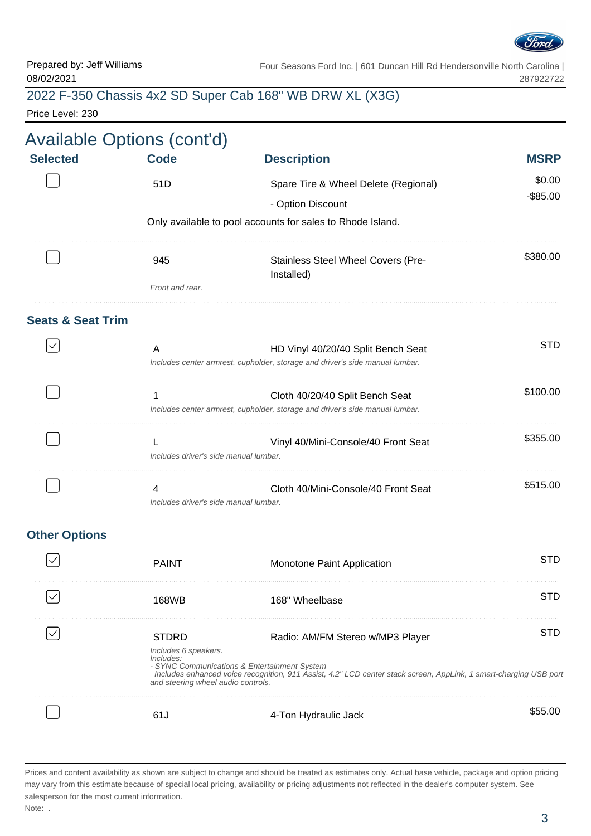

### 2022 F-350 Chassis 4x2 SD Super Cab 168" WB DRW XL (X3G)

Price Level: 230

|                              | <b>Available Options (cont'd)</b>                                                       |                                                                                                                                                                                                       |                       |
|------------------------------|-----------------------------------------------------------------------------------------|-------------------------------------------------------------------------------------------------------------------------------------------------------------------------------------------------------|-----------------------|
| <b>Selected</b>              | <b>Code</b>                                                                             | <b>Description</b>                                                                                                                                                                                    | <b>MSRP</b>           |
|                              | 51D                                                                                     | Spare Tire & Wheel Delete (Regional)<br>- Option Discount                                                                                                                                             | \$0.00<br>$-$ \$85.00 |
|                              |                                                                                         | Only available to pool accounts for sales to Rhode Island.                                                                                                                                            |                       |
|                              | 945                                                                                     | Stainless Steel Wheel Covers (Pre-<br>Installed)                                                                                                                                                      | \$380.00              |
|                              | Front and rear.                                                                         |                                                                                                                                                                                                       |                       |
| <b>Seats &amp; Seat Trim</b> | A                                                                                       | HD Vinyl 40/20/40 Split Bench Seat                                                                                                                                                                    | <b>STD</b>            |
|                              |                                                                                         | Includes center armrest, cupholder, storage and driver's side manual lumbar.                                                                                                                          |                       |
|                              | 1                                                                                       | Cloth 40/20/40 Split Bench Seat<br>Includes center armrest, cupholder, storage and driver's side manual lumbar.                                                                                       | \$100.00              |
|                              | Includes driver's side manual lumbar.                                                   | Vinyl 40/Mini-Console/40 Front Seat                                                                                                                                                                   | \$355.00              |
|                              | 4<br>Includes driver's side manual lumbar.                                              | Cloth 40/Mini-Console/40 Front Seat                                                                                                                                                                   | \$515.00              |
| <b>Other Options</b>         |                                                                                         |                                                                                                                                                                                                       |                       |
|                              | <b>PAINT</b>                                                                            | Monotone Paint Application                                                                                                                                                                            | <b>STD</b>            |
|                              | 168WB                                                                                   | 168" Wheelbase                                                                                                                                                                                        | <b>STD</b>            |
|                              | <b>STDRD</b><br>Includes 6 speakers.<br>Includes:<br>and steering wheel audio controls. | Radio: AM/FM Stereo w/MP3 Player<br>- SYNC Communications & Entertainment System<br>Includes enhanced voice recognition, 911 Åssist, 4.2" LCD center stack screen, AppLink, 1 smart-charging USB port | <b>STD</b>            |
|                              | 61J                                                                                     | 4-Ton Hydraulic Jack                                                                                                                                                                                  | \$55.00               |
|                              |                                                                                         |                                                                                                                                                                                                       |                       |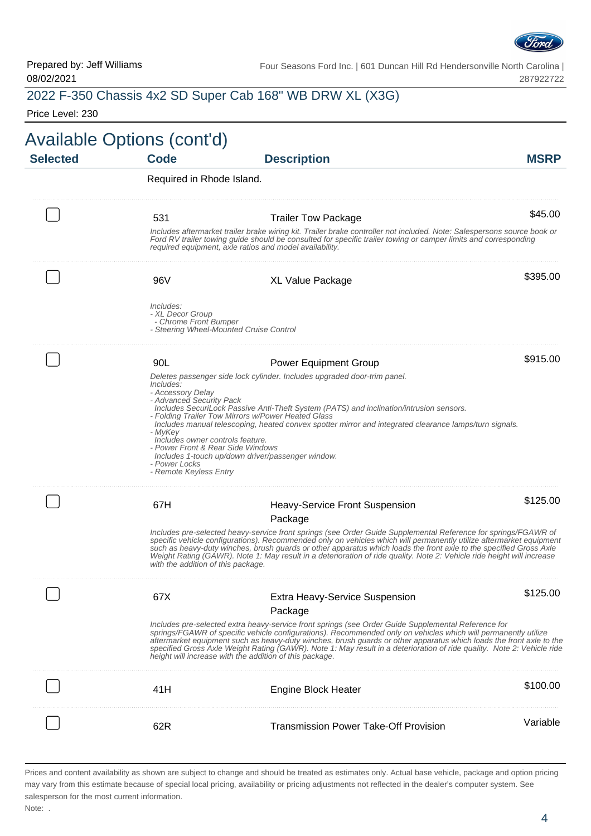

|                  |                                                                                                                                                                                                  | 2022 F-350 Chassis 4x2 SD Super Cab 168" WB DRW XL (X3G)                                                                                                                                                                                                                                                                                                                                                                                                                                                                          |             |
|------------------|--------------------------------------------------------------------------------------------------------------------------------------------------------------------------------------------------|-----------------------------------------------------------------------------------------------------------------------------------------------------------------------------------------------------------------------------------------------------------------------------------------------------------------------------------------------------------------------------------------------------------------------------------------------------------------------------------------------------------------------------------|-------------|
| Price Level: 230 |                                                                                                                                                                                                  |                                                                                                                                                                                                                                                                                                                                                                                                                                                                                                                                   |             |
|                  | Available Options (cont'd)                                                                                                                                                                       |                                                                                                                                                                                                                                                                                                                                                                                                                                                                                                                                   |             |
| <b>Selected</b>  | <b>Code</b>                                                                                                                                                                                      | <b>Description</b>                                                                                                                                                                                                                                                                                                                                                                                                                                                                                                                | <b>MSRP</b> |
|                  | Required in Rhode Island.                                                                                                                                                                        |                                                                                                                                                                                                                                                                                                                                                                                                                                                                                                                                   |             |
|                  | 531                                                                                                                                                                                              | <b>Trailer Tow Package</b>                                                                                                                                                                                                                                                                                                                                                                                                                                                                                                        | \$45.00     |
|                  |                                                                                                                                                                                                  | Includes aftermarket trailer brake wiring kit. Trailer brake controller not included. Note: Salespersons source book or<br>Ford RV trailer towing guide should be consulted for specific trailer towing or camper limits and corresponding<br>required equipment, axle ratios and model availability.                                                                                                                                                                                                                             |             |
|                  | 96V                                                                                                                                                                                              | <b>XL Value Package</b>                                                                                                                                                                                                                                                                                                                                                                                                                                                                                                           | \$395.00    |
|                  | Includes:<br>- XL Decor Group<br>- Chrome Front Bumper                                                                                                                                           | - Steering Wheel-Mounted Cruise Control                                                                                                                                                                                                                                                                                                                                                                                                                                                                                           |             |
|                  | 90L                                                                                                                                                                                              | <b>Power Equipment Group</b>                                                                                                                                                                                                                                                                                                                                                                                                                                                                                                      | \$915.00    |
|                  | <i>Includes:</i><br>- Accessory Delay<br>- Advanced Security Pack<br>- MyKey<br>Includes owner controls feature.<br>- Power Front & Rear Side Windows<br>- Power Locks<br>- Remote Keyless Entry | Deletes passenger side lock cylinder. Includes upgraded door-trim panel.<br>Includes SecuriLock Passive Anti-Theft System (PATS) and inclination/intrusion sensors.<br>- Folding Trailer Tow Mirrors w/Power Heated Glass<br>Includes manual telescoping, heated convex spotter mirror and integrated clearance lamps/turn signals.<br>Includes 1-touch up/down driver/passenger window.                                                                                                                                          |             |
|                  | 67H                                                                                                                                                                                              | <b>Heavy-Service Front Suspension</b><br>Package                                                                                                                                                                                                                                                                                                                                                                                                                                                                                  | \$125.00    |
|                  | with the addition of this package.                                                                                                                                                               | Includes pre-selected heavy-service front springs (see Order Guide Supplemental Reference for springs/FGAWR of<br>specific vehicle configurations). Recommended only on vehicles which will permanently utilize aftermarket equipment<br>such as heavy-duty winches, brush guards or other apparatus which loads the front axle to the specified Gross Axle<br>Weight Rating (GAWR). Note 1: May result in a deterioration of ride quality. Note 2: Vehicle ride height will increase                                             |             |
|                  | 67X                                                                                                                                                                                              | <b>Extra Heavy-Service Suspension</b><br>Package                                                                                                                                                                                                                                                                                                                                                                                                                                                                                  | \$125.00    |
|                  |                                                                                                                                                                                                  | Includes pre-selected extra heavy-service front springs (see Order Guide Supplemental Reference for<br>springs/FGAWR of specific vehicle configurations). Recommended only on vehicles which will permanently utilize<br>aftermarket equipment such as heavy-duty winches, brush guards or other apparatus which loads the front axle to the<br>specified Gross Axle Weight Rating (GAWR). Note 1: May result in a deterioration of ride quality. Note 2: Vehicle ride<br>height will increase with the addition of this package. |             |
|                  | 41H                                                                                                                                                                                              | Engine Block Heater                                                                                                                                                                                                                                                                                                                                                                                                                                                                                                               | \$100.00    |
|                  | 62R                                                                                                                                                                                              | <b>Transmission Power Take-Off Provision</b>                                                                                                                                                                                                                                                                                                                                                                                                                                                                                      | Variable    |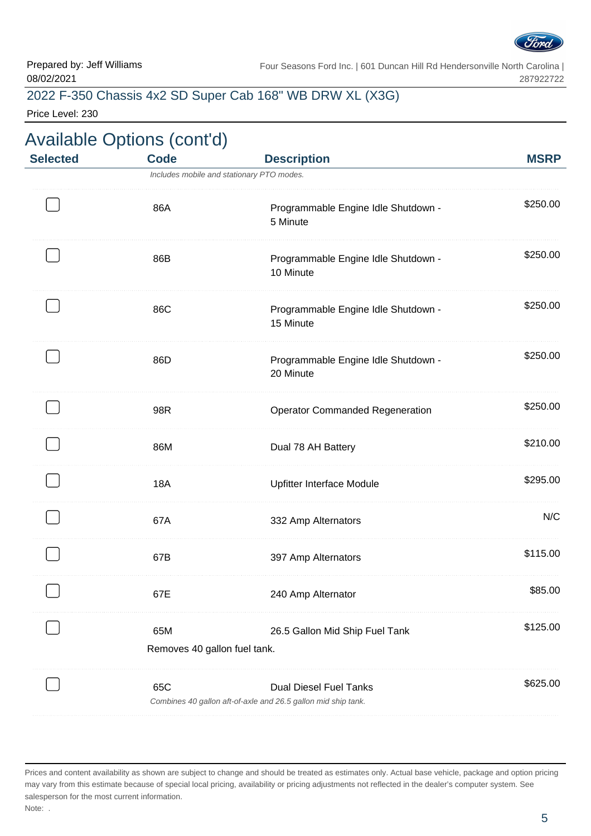

## 2022 F-350 Chassis 4x2 SD Super Cab 168" WB DRW XL (X3G)

Price Level: 230

|                 | <b>Available Options (cont'd)</b>   |                                                                                                |             |
|-----------------|-------------------------------------|------------------------------------------------------------------------------------------------|-------------|
| <b>Selected</b> | <b>Code</b>                         | <b>Description</b>                                                                             | <b>MSRP</b> |
|                 |                                     | Includes mobile and stationary PTO modes.                                                      |             |
|                 | 86A                                 | Programmable Engine Idle Shutdown -<br>5 Minute                                                | \$250.00    |
|                 | 86B                                 | Programmable Engine Idle Shutdown -<br>10 Minute                                               | \$250.00    |
|                 | 86C                                 | Programmable Engine Idle Shutdown -<br>15 Minute                                               | \$250.00    |
|                 | 86D                                 | Programmable Engine Idle Shutdown -<br>20 Minute                                               | \$250.00    |
|                 | 98R                                 | <b>Operator Commanded Regeneration</b>                                                         | \$250.00    |
|                 | 86M                                 | Dual 78 AH Battery                                                                             | \$210.00    |
|                 | <b>18A</b>                          | Upfitter Interface Module                                                                      | \$295.00    |
|                 | 67A                                 | 332 Amp Alternators                                                                            | N/C         |
|                 | 67B                                 | 397 Amp Alternators                                                                            | \$115.00    |
|                 | 67E                                 | 240 Amp Alternator                                                                             | \$85.00     |
|                 | 65M<br>Removes 40 gallon fuel tank. | 26.5 Gallon Mid Ship Fuel Tank                                                                 | \$125.00    |
|                 | 65C                                 | <b>Dual Diesel Fuel Tanks</b><br>Combines 40 gallon aft-of-axle and 26.5 gallon mid ship tank. | \$625.00    |

Prices and content availability as shown are subject to change and should be treated as estimates only. Actual base vehicle, package and option pricing may vary from this estimate because of special local pricing, availability or pricing adjustments not reflected in the dealer's computer system. See salesperson for the most current information. Note: .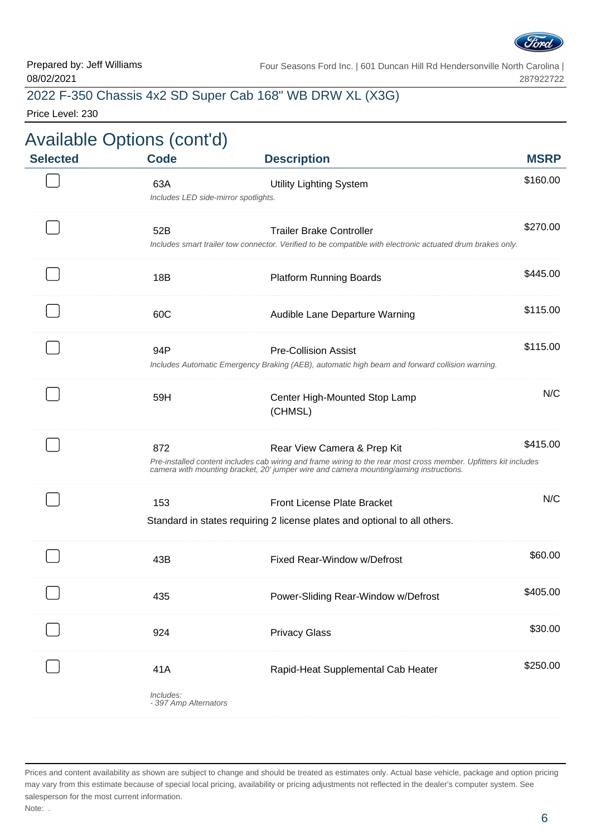

### 2022 F-350 Chassis 4x2 SD Super Cab 168" WB DRW XL (X3G)

Price Level: 230

| <b>MSRP</b> | <b>Description</b>                                                                                                                                                                                                                        | <b>Code</b>                                 | <b>Selected</b> |
|-------------|-------------------------------------------------------------------------------------------------------------------------------------------------------------------------------------------------------------------------------------------|---------------------------------------------|-----------------|
| \$160.00    | <b>Utility Lighting System</b>                                                                                                                                                                                                            | 63A<br>Includes LED side-mirror spotlights. |                 |
| \$270.00    | <b>Trailer Brake Controller</b><br>Includes smart trailer tow connector. Verified to be compatible with electronic actuated drum brakes only.                                                                                             | 52B                                         |                 |
| \$445.00    | <b>Platform Running Boards</b>                                                                                                                                                                                                            | 18B                                         |                 |
| \$115.00    | Audible Lane Departure Warning                                                                                                                                                                                                            | 60C                                         |                 |
| \$115.00    | <b>Pre-Collision Assist</b><br>Includes Automatic Emergency Braking (AEB), automatic high beam and forward collision warning.                                                                                                             | 94P                                         |                 |
| N/C         | Center High-Mounted Stop Lamp<br>(CHMSL)                                                                                                                                                                                                  | 59H                                         |                 |
| \$415.00    | Rear View Camera & Prep Kit<br>Pre-installed content includes cab wiring and frame wiring to the rear most cross member. Upfitters kit includes<br>camera with mounting bracket, 20' jumper wire and camera mounting/aiming instructions. | 872                                         |                 |
| N/C         | <b>Front License Plate Bracket</b><br>Standard in states requiring 2 license plates and optional to all others.                                                                                                                           | 153                                         |                 |
| \$60.00     | Fixed Rear-Window w/Defrost                                                                                                                                                                                                               | 43B                                         |                 |
| \$405.00    | Power-Sliding Rear-Window w/Defrost                                                                                                                                                                                                       | 435                                         |                 |
| \$30.00     | <b>Privacy Glass</b>                                                                                                                                                                                                                      | 924                                         |                 |
| \$250.00    | Rapid-Heat Supplemental Cab Heater                                                                                                                                                                                                        | 41A<br>Includes:<br>- 397 Amp Alternators   |                 |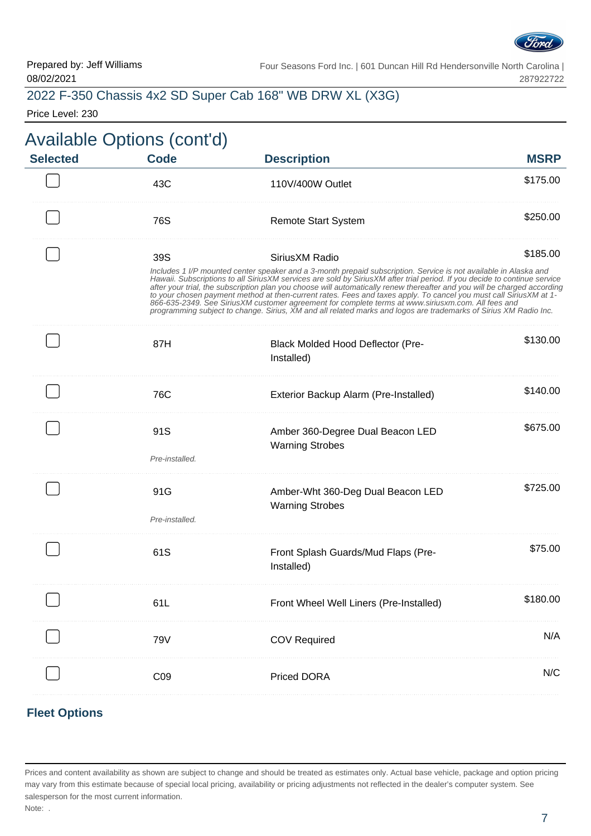

| 2022 F-350 Chassis 4x2 SD Super Cab 168" WB DRW XL (X3G) |  |  |  |  |  |  |  |
|----------------------------------------------------------|--|--|--|--|--|--|--|
|----------------------------------------------------------|--|--|--|--|--|--|--|

Price Level: 230

|                 | <b>Available Options (cont'd)</b> |                                                                                                                                                                                                                                                                                                                                                                                                                                                                                                                                                                                                                                                                                                                          |             |
|-----------------|-----------------------------------|--------------------------------------------------------------------------------------------------------------------------------------------------------------------------------------------------------------------------------------------------------------------------------------------------------------------------------------------------------------------------------------------------------------------------------------------------------------------------------------------------------------------------------------------------------------------------------------------------------------------------------------------------------------------------------------------------------------------------|-------------|
| <b>Selected</b> | <b>Code</b>                       | <b>Description</b>                                                                                                                                                                                                                                                                                                                                                                                                                                                                                                                                                                                                                                                                                                       | <b>MSRP</b> |
|                 | 43C                               | 110V/400W Outlet                                                                                                                                                                                                                                                                                                                                                                                                                                                                                                                                                                                                                                                                                                         | \$175.00    |
|                 | 76S                               | <b>Remote Start System</b>                                                                                                                                                                                                                                                                                                                                                                                                                                                                                                                                                                                                                                                                                               | \$250.00    |
|                 | 39S                               | SiriusXM Radio                                                                                                                                                                                                                                                                                                                                                                                                                                                                                                                                                                                                                                                                                                           | \$185.00    |
|                 |                                   | Includes 1 I/P mounted center speaker and a 3-month prepaid subscription. Service is not available in Alaska and<br>Hawaii. Subscriptions to all SiriusXM services are sold by SiriusXM after trial period. If you decide to continue service<br>after your trial, the subscription plan you choose will automatically renew thereafter and you will be charged according<br>to your chosen payment method at then-current rates. Fees and taxes apply. To cancel you must call SiriusXM at 1-<br>866-635-2349. See SiriusXM customer agreement for complete terms at www.siriusxm.com. All fees and<br>programming subject to change. Sirius, XM and all related marks and logos are trademarks of Sirius XM Radio Inc. |             |
|                 | 87H                               | <b>Black Molded Hood Deflector (Pre-</b><br>Installed)                                                                                                                                                                                                                                                                                                                                                                                                                                                                                                                                                                                                                                                                   | \$130.00    |
|                 | 76C                               | Exterior Backup Alarm (Pre-Installed)                                                                                                                                                                                                                                                                                                                                                                                                                                                                                                                                                                                                                                                                                    | \$140.00    |
|                 | 91S                               | Amber 360-Degree Dual Beacon LED                                                                                                                                                                                                                                                                                                                                                                                                                                                                                                                                                                                                                                                                                         | \$675.00    |
|                 | Pre-installed.                    | <b>Warning Strobes</b>                                                                                                                                                                                                                                                                                                                                                                                                                                                                                                                                                                                                                                                                                                   |             |
|                 | 91G                               | Amber-Wht 360-Deg Dual Beacon LED                                                                                                                                                                                                                                                                                                                                                                                                                                                                                                                                                                                                                                                                                        | \$725.00    |
|                 | Pre-installed.                    | <b>Warning Strobes</b>                                                                                                                                                                                                                                                                                                                                                                                                                                                                                                                                                                                                                                                                                                   |             |
|                 | 61S                               | Front Splash Guards/Mud Flaps (Pre-<br>Installed)                                                                                                                                                                                                                                                                                                                                                                                                                                                                                                                                                                                                                                                                        | \$75.00     |
|                 | 61L                               | Front Wheel Well Liners (Pre-Installed)                                                                                                                                                                                                                                                                                                                                                                                                                                                                                                                                                                                                                                                                                  | \$180.00    |
|                 | <b>79V</b>                        | <b>COV Required</b>                                                                                                                                                                                                                                                                                                                                                                                                                                                                                                                                                                                                                                                                                                      | N/A         |
|                 | C <sub>09</sub>                   | Priced DORA                                                                                                                                                                                                                                                                                                                                                                                                                                                                                                                                                                                                                                                                                                              | N/C         |
|                 |                                   |                                                                                                                                                                                                                                                                                                                                                                                                                                                                                                                                                                                                                                                                                                                          |             |

#### **Fleet Options**

Prices and content availability as shown are subject to change and should be treated as estimates only. Actual base vehicle, package and option pricing may vary from this estimate because of special local pricing, availability or pricing adjustments not reflected in the dealer's computer system. See salesperson for the most current information. Note: .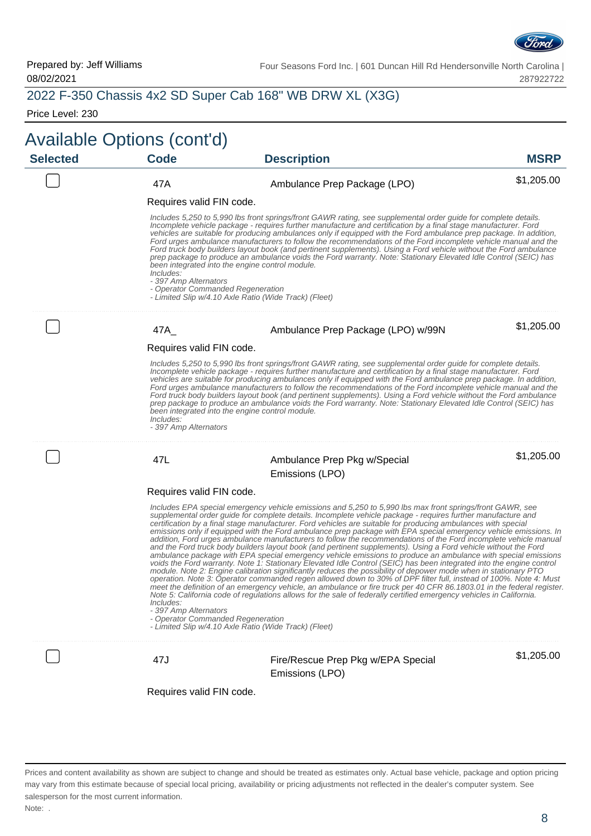

|                 | Available Options (cont'd)                                              |                                                                                                                                                                                                                                                                                                                                                                                                                                                                                                                                                                                                                                                                                                                                                                                                                                                                                                                                                                                                                                                                                                                                                                                                                                                                                                                                                                                                                                                                                                  |             |  |  |  |  |
|-----------------|-------------------------------------------------------------------------|--------------------------------------------------------------------------------------------------------------------------------------------------------------------------------------------------------------------------------------------------------------------------------------------------------------------------------------------------------------------------------------------------------------------------------------------------------------------------------------------------------------------------------------------------------------------------------------------------------------------------------------------------------------------------------------------------------------------------------------------------------------------------------------------------------------------------------------------------------------------------------------------------------------------------------------------------------------------------------------------------------------------------------------------------------------------------------------------------------------------------------------------------------------------------------------------------------------------------------------------------------------------------------------------------------------------------------------------------------------------------------------------------------------------------------------------------------------------------------------------------|-------------|--|--|--|--|
| <b>Selected</b> | <b>Code</b>                                                             | <b>Description</b>                                                                                                                                                                                                                                                                                                                                                                                                                                                                                                                                                                                                                                                                                                                                                                                                                                                                                                                                                                                                                                                                                                                                                                                                                                                                                                                                                                                                                                                                               | <b>MSRP</b> |  |  |  |  |
|                 | 47A                                                                     | Ambulance Prep Package (LPO)                                                                                                                                                                                                                                                                                                                                                                                                                                                                                                                                                                                                                                                                                                                                                                                                                                                                                                                                                                                                                                                                                                                                                                                                                                                                                                                                                                                                                                                                     | \$1,205.00  |  |  |  |  |
|                 | Requires valid FIN code.                                                |                                                                                                                                                                                                                                                                                                                                                                                                                                                                                                                                                                                                                                                                                                                                                                                                                                                                                                                                                                                                                                                                                                                                                                                                                                                                                                                                                                                                                                                                                                  |             |  |  |  |  |
|                 | Includes:<br>- 397 Amp Alternators<br>- Operator Commanded Regeneration | Includes 5,250 to 5,990 lbs front springs/front GAWR rating, see supplemental order guide for complete details.<br>Incomplete vehicle package - requires further manufacture and certification by a final stage manufacturer. Ford<br>vehicles are suitable for producing ambulances only if equipped with the Ford ambulance prep package. In addition,<br>Ford urges ambulance manufacturers to follow the recommendations of the Ford incomplete vehicle manual and the<br>Ford truck body builders layout book (and pertinent supplements). Using a Ford vehicle without the Ford ambulance<br>prep package to produce an ambulance voids the Ford warranty. Note: Stationary Elevated Idle Control (SEIC) has<br>been integrated into the engine control module.<br>- Limited Slip w/4.10 Axle Ratio (Wide Track) (Fleet)                                                                                                                                                                                                                                                                                                                                                                                                                                                                                                                                                                                                                                                                   |             |  |  |  |  |
|                 | 47A                                                                     | Ambulance Prep Package (LPO) w/99N                                                                                                                                                                                                                                                                                                                                                                                                                                                                                                                                                                                                                                                                                                                                                                                                                                                                                                                                                                                                                                                                                                                                                                                                                                                                                                                                                                                                                                                               | \$1,205.00  |  |  |  |  |
|                 | Requires valid FIN code.                                                |                                                                                                                                                                                                                                                                                                                                                                                                                                                                                                                                                                                                                                                                                                                                                                                                                                                                                                                                                                                                                                                                                                                                                                                                                                                                                                                                                                                                                                                                                                  |             |  |  |  |  |
|                 | Includes:<br>- 397 Amp Alternators                                      | Includes 5,250 to 5,990 lbs front springs/front GAWR rating, see supplemental order guide for complete details.<br>Incomplete vehicle package - requires further manufacture and certification by a final stage manufacturer. Ford<br>vehicles are suitable for producing ambulances only if equipped with the Ford ambulance prep package. In addition,<br>Ford urges ambulance manufacturers to follow the recommendations of the Ford incomplete vehicle manual and the<br>Ford truck body builders layout book (and pertinent supplements). Using a Ford vehicle without the Ford ambulance<br>prep package to produce an ambulance voids the Ford warranty. Note: Stationary Elevated Idle Control (SEIC) has<br>been integrated into the engine control module.                                                                                                                                                                                                                                                                                                                                                                                                                                                                                                                                                                                                                                                                                                                            |             |  |  |  |  |
|                 | 47L                                                                     | Ambulance Prep Pkg w/Special                                                                                                                                                                                                                                                                                                                                                                                                                                                                                                                                                                                                                                                                                                                                                                                                                                                                                                                                                                                                                                                                                                                                                                                                                                                                                                                                                                                                                                                                     | \$1,205.00  |  |  |  |  |
|                 |                                                                         | Emissions (LPO)                                                                                                                                                                                                                                                                                                                                                                                                                                                                                                                                                                                                                                                                                                                                                                                                                                                                                                                                                                                                                                                                                                                                                                                                                                                                                                                                                                                                                                                                                  |             |  |  |  |  |
|                 | Requires valid FIN code.                                                |                                                                                                                                                                                                                                                                                                                                                                                                                                                                                                                                                                                                                                                                                                                                                                                                                                                                                                                                                                                                                                                                                                                                                                                                                                                                                                                                                                                                                                                                                                  |             |  |  |  |  |
|                 | Includes:<br>- 397 Amp Alternators<br>- Operator Commanded Regeneration | Includes EPA special emergency vehicle emissions and 5,250 to 5,990 lbs max front springs/front GAWR, see<br>supplemental order guide for complete details. Incomplete vehicle package - requires further manufacture and<br>certification by a final stage manufacturer. Ford vehicles are suitable for producing ambulances with special<br>emissions only if equipped with the Ford ambulance prep package with EPA special emergency vehicle emissions. In<br>addition, Ford urges ambulance manufacturers to follow the recommendations of the Ford incomplete vehicle manual<br>and the Ford truck body builders layout book (and pertinent supplements). Using a Ford vehicle without the Ford<br>ambulance package with EPA special emergency vehicle emissions to produce an ambulance with special emissions<br>voids the Ford warranty. Note 1: Stationary Elevated Idle Control (SEIC) has been integrated into the engine control<br>module. Note 2: Engine calibration significantly reduces the possibility of depower mode when in stationary PTO<br>operation. Note 3: Operator commanded regen allowed down to 30% of DPF filter full, instead of 100%. Note 4: Must<br>meet the definition of an emergency vehicle, an ambulance or fire truck per 40 CFR 86.1803.01 in the federal register.<br>Note 5: California code of regulations allows for the sale of federally certified emergency vehicles in California.<br>- Limited Slip w/4.10 Axle Ratio (Wide Track) (Fleet) |             |  |  |  |  |
|                 | 47J                                                                     | Fire/Rescue Prep Pkg w/EPA Special                                                                                                                                                                                                                                                                                                                                                                                                                                                                                                                                                                                                                                                                                                                                                                                                                                                                                                                                                                                                                                                                                                                                                                                                                                                                                                                                                                                                                                                               | \$1,205.00  |  |  |  |  |
|                 |                                                                         | Emissions (LPO)                                                                                                                                                                                                                                                                                                                                                                                                                                                                                                                                                                                                                                                                                                                                                                                                                                                                                                                                                                                                                                                                                                                                                                                                                                                                                                                                                                                                                                                                                  |             |  |  |  |  |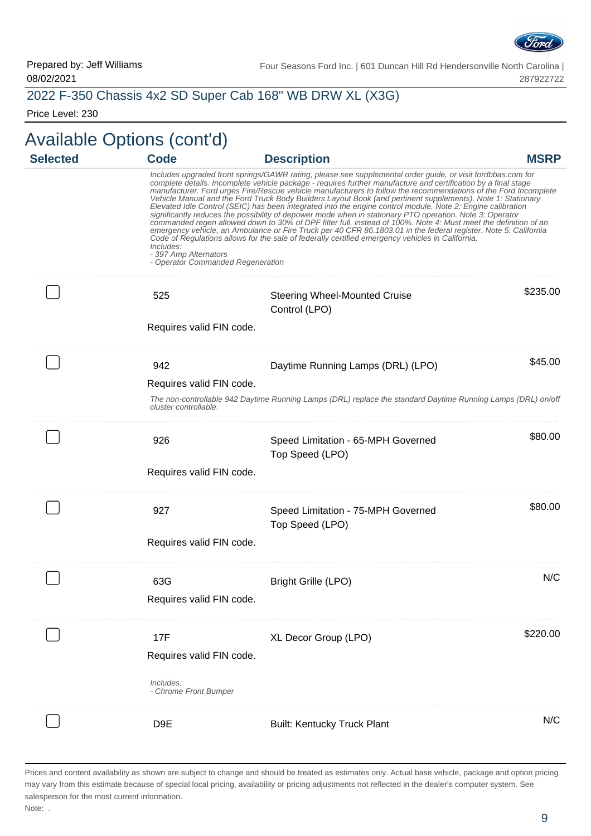

### 2022 F-350 Chassis 4x2 SD Super Cab 168" WB DRW XL (X3G)

Price Level: 230

# Available Options (cont'd)

| <b>Selected</b> | <b>Code</b>                                                             | <b>Description</b>                                                                                                                                                                                                                                                                                                                                                                                                                                                                                                                                                                                                                                                                                                                                                                                                                                                                                                                                                                                                                   | <b>MSRP</b> |
|-----------------|-------------------------------------------------------------------------|--------------------------------------------------------------------------------------------------------------------------------------------------------------------------------------------------------------------------------------------------------------------------------------------------------------------------------------------------------------------------------------------------------------------------------------------------------------------------------------------------------------------------------------------------------------------------------------------------------------------------------------------------------------------------------------------------------------------------------------------------------------------------------------------------------------------------------------------------------------------------------------------------------------------------------------------------------------------------------------------------------------------------------------|-------------|
|                 | Includes:<br>- 397 Amp Alternators<br>- Operator Commanded Regeneration | Includes upgraded front springs/GAWR rating, please see supplemental order guide, or visit fordbbas.com for<br>complete details. Incomplete vehicle package - requires further manufacture and certification by a final stage<br>manufacturer. Ford urges Fire/Rescue vehicle manufacturers to follow the recommendations of the Ford Incomplete<br>Vehicle Manual and the Ford Truck Body Builders Layout Book (and pertinent supplements). Note 1: Stationary<br>Elevated Idle Control (SEIC) has been integrated into the engine control module. Note 2: Engine calibration<br>significantly reduces the possibility of depower mode when in stationary PTO operation. Note 3: Operator<br>commanded regen allowed down to 30% of DPF filter full, instead of 100%. Note 4: Must meet the definition of an<br>emergency vehicle, an Ambulance or Fire Truck per 40 CFR 86.1803.01 in the federal register. Note 5: California<br>Code of Regulations allows for the sale of federally certified emergency vehicles in California. |             |
|                 | 525<br>Requires valid FIN code.                                         | <b>Steering Wheel-Mounted Cruise</b><br>Control (LPO)                                                                                                                                                                                                                                                                                                                                                                                                                                                                                                                                                                                                                                                                                                                                                                                                                                                                                                                                                                                | \$235.00    |
|                 | 942<br>Requires valid FIN code.<br>cluster controllable.                | Daytime Running Lamps (DRL) (LPO)<br>The non-controllable 942 Daytime Running Lamps (DRL) replace the standard Daytime Running Lamps (DRL) on/off                                                                                                                                                                                                                                                                                                                                                                                                                                                                                                                                                                                                                                                                                                                                                                                                                                                                                    | \$45.00     |
|                 | 926<br>Requires valid FIN code.                                         | Speed Limitation - 65-MPH Governed<br>Top Speed (LPO)                                                                                                                                                                                                                                                                                                                                                                                                                                                                                                                                                                                                                                                                                                                                                                                                                                                                                                                                                                                | \$80.00     |
|                 | 927<br>Requires valid FIN code.                                         | Speed Limitation - 75-MPH Governed<br>Top Speed (LPO)                                                                                                                                                                                                                                                                                                                                                                                                                                                                                                                                                                                                                                                                                                                                                                                                                                                                                                                                                                                | \$80.00     |
|                 | 63G<br>Requires valid FIN code.                                         | Bright Grille (LPO)                                                                                                                                                                                                                                                                                                                                                                                                                                                                                                                                                                                                                                                                                                                                                                                                                                                                                                                                                                                                                  | N/C         |
|                 | 17F<br>Requires valid FIN code.<br>Includes:<br>- Chrome Front Bumper   | XL Decor Group (LPO)                                                                                                                                                                                                                                                                                                                                                                                                                                                                                                                                                                                                                                                                                                                                                                                                                                                                                                                                                                                                                 | \$220.00    |
|                 | D <sub>9E</sub>                                                         | <b>Built: Kentucky Truck Plant</b>                                                                                                                                                                                                                                                                                                                                                                                                                                                                                                                                                                                                                                                                                                                                                                                                                                                                                                                                                                                                   | N/C         |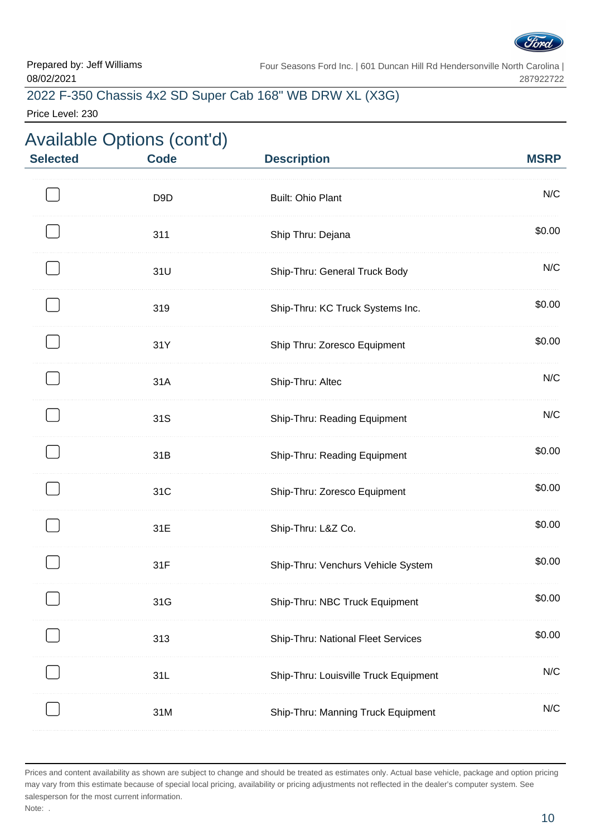

## 2022 F-350 Chassis 4x2 SD Super Cab 168" WB DRW XL (X3G)

Price Level: 230

| <b>Selected</b> | <b>Available Options (cont'd)</b><br><b>Code</b> | <b>Description</b>                    | <b>MSRP</b> |
|-----------------|--------------------------------------------------|---------------------------------------|-------------|
|                 | D <sub>9</sub> D                                 | <b>Built: Ohio Plant</b>              | N/C         |
|                 | 311                                              | Ship Thru: Dejana                     | \$0.00      |
|                 | 31U                                              | Ship-Thru: General Truck Body         | N/C         |
|                 | 319                                              | Ship-Thru: KC Truck Systems Inc.      | \$0.00      |
|                 | 31Y                                              | Ship Thru: Zoresco Equipment          | \$0.00      |
|                 | 31A                                              | Ship-Thru: Altec                      | N/C         |
|                 | 31S                                              | Ship-Thru: Reading Equipment          | N/C         |
|                 | 31B                                              | Ship-Thru: Reading Equipment          | \$0.00      |
|                 | 31C                                              | Ship-Thru: Zoresco Equipment          | \$0.00      |
|                 | 31E                                              | Ship-Thru: L&Z Co.                    | \$0.00      |
|                 | 31F                                              | Ship-Thru: Venchurs Vehicle System    | \$0.00      |
|                 | 31G                                              | Ship-Thru: NBC Truck Equipment        | \$0.00      |
|                 | 313                                              | Ship-Thru: National Fleet Services    | \$0.00      |
|                 | 31L                                              | Ship-Thru: Louisville Truck Equipment | N/C         |
|                 | 31M                                              | Ship-Thru: Manning Truck Equipment    | N/C         |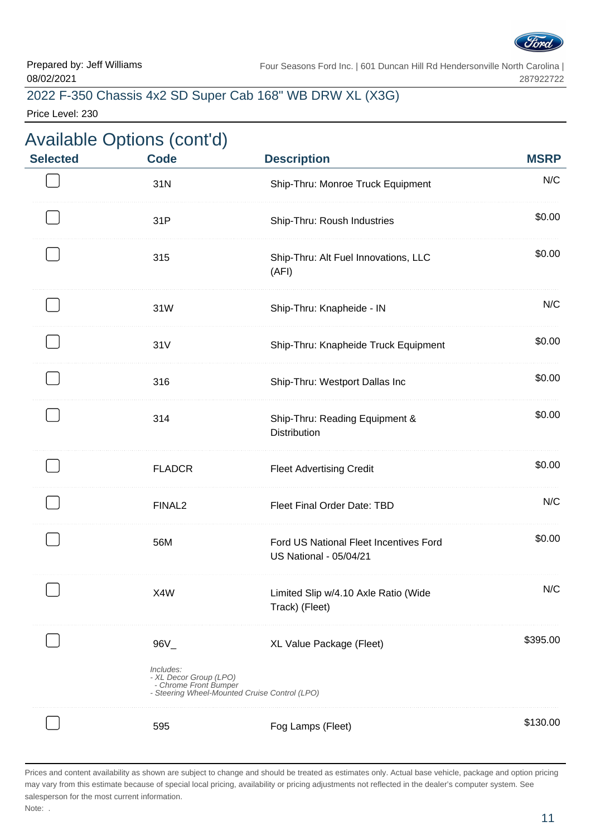

# 2022 F-350 Chassis 4x2 SD Super Cab 168" WB DRW XL (X3G)

Price Level: 230

| <b>Selected</b> | <b>Available Options (cont'd)</b><br><b>Code</b>                       | <b>Description</b>                                                        | <b>MSRP</b> |
|-----------------|------------------------------------------------------------------------|---------------------------------------------------------------------------|-------------|
|                 | 31N                                                                    | Ship-Thru: Monroe Truck Equipment                                         | N/C         |
|                 | 31P                                                                    | Ship-Thru: Roush Industries                                               | \$0.00      |
|                 | 315                                                                    | Ship-Thru: Alt Fuel Innovations, LLC<br>(AFI)                             | \$0.00      |
|                 | 31W                                                                    | Ship-Thru: Knapheide - IN                                                 | N/C         |
|                 | 31V                                                                    | Ship-Thru: Knapheide Truck Equipment                                      | \$0.00      |
|                 | 316                                                                    | Ship-Thru: Westport Dallas Inc                                            | \$0.00      |
|                 | 314                                                                    | Ship-Thru: Reading Equipment &<br><b>Distribution</b>                     | \$0.00      |
|                 | <b>FLADCR</b>                                                          | <b>Fleet Advertising Credit</b>                                           | \$0.00      |
|                 | FINAL <sub>2</sub>                                                     | Fleet Final Order Date: TBD                                               | N/C         |
|                 | 56M                                                                    | Ford US National Fleet Incentives Ford<br><b>US National - 05/04/21</b>   | \$0.00      |
|                 | X4W                                                                    | Limited Slip w/4.10 Axle Ratio (Wide<br>Track) (Fleet)                    | N/C         |
|                 | $96V_$<br>Includes:<br>- XL Decor Group (LPO)<br>- Chrome Front Bumper | XL Value Package (Fleet)<br>- Steering Wheel-Mounted Cruise Control (LPO) | \$395.00    |
|                 | 595                                                                    | Fog Lamps (Fleet)                                                         | \$130.00    |